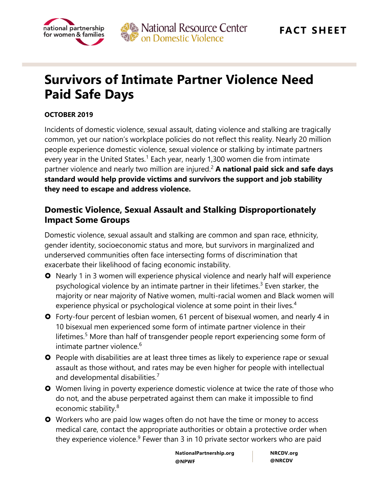



# **Survivors of Intimate Partner Violence Need Paid Safe Days**

#### **OCTOBER 2019**

Incidents of domestic violence, sexual assault, dating violence and stalking are tragically common, yet our nation's workplace policies do not reflect this reality. Nearly 20 million people experience domestic violence, sexual violence or stalking by intimate partners every year in the United States.<sup>1</sup> Each year, nearly 1,300 women die from intimate partner violence and nearly two million are injured.<sup>2</sup> **A national paid sick and safe days standard would help provide victims and survivors the support and job stability they need to escape and address violence.**

### **Domestic Violence, Sexual Assault and Stalking Disproportionately Impact Some Groups**

Domestic violence, sexual assault and stalking are common and span race, ethnicity, gender identity, socioeconomic status and more, but survivors in marginalized and underserved communities often face intersecting forms of discrimination that exacerbate their likelihood of facing economic instability.

- **O** Nearly 1 in 3 women will experience physical violence and nearly half will experience psychological violence by an intimate partner in their lifetimes.<sup>3</sup> Even starker, the majority or near majority of Native women, multi-racial women and Black women will experience physical or psychological violence at some point in their lives.<sup>4</sup>
- Forty-four percent of lesbian women, 61 percent of bisexual women, and nearly 4 in 10 bisexual men experienced some form of intimate partner violence in their lifetimes.<sup>5</sup> More than half of transgender people report experiencing some form of intimate partner violence.<sup>6</sup>
- **O** People with disabilities are at least three times as likely to experience rape or sexual assault as those without, and rates may be even higher for people with intellectual and developmental disabilities.<sup>7</sup>
- **O** Women living in poverty experience domestic violence at twice the rate of those who do not, and the abuse perpetrated against them can make it impossible to find economic stability.<sup>8</sup>
- **O** Workers who are paid low wages often do not have the time or money to access medical care, contact the appropriate authorities or obtain a protective order when they experience violence.<sup>9</sup> Fewer than 3 in 10 private sector workers who are paid

**NationalPartnership.org @NPWF**

**NRCDV.org @NRCDV**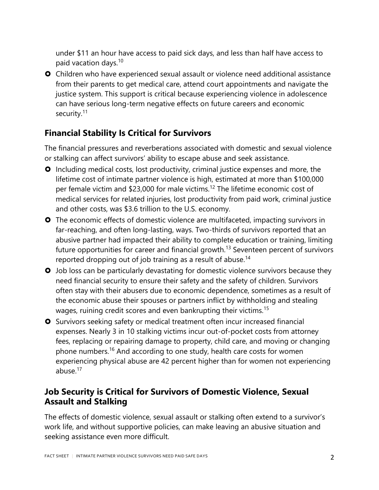under \$11 an hour have access to paid sick days, and less than half have access to paid vacation days.<sup>10</sup>

 Children who have experienced sexual assault or violence need additional assistance from their parents to get medical care, attend court appointments and navigate the justice system. This support is critical because experiencing violence in adolescence can have serious long-term negative effects on future careers and economic security.<sup>11</sup>

# **Financial Stability Is Critical for Survivors**

The financial pressures and reverberations associated with domestic and sexual violence or stalking can affect survivors' ability to escape abuse and seek assistance.

- **O** Including medical costs, lost productivity, criminal justice expenses and more, the lifetime cost of intimate partner violence is high, estimated at more than \$100,000 per female victim and \$23,000 for male victims.<sup>12</sup> The lifetime economic cost of medical services for related injuries, lost productivity from paid work, criminal justice and other costs, was \$3.6 trillion to the U.S. economy.
- **O** The economic effects of domestic violence are multifaceted, impacting survivors in far-reaching, and often long-lasting, ways. Two-thirds of survivors reported that an abusive partner had impacted their ability to complete education or training, limiting future opportunities for career and financial growth.<sup>13</sup> Seventeen percent of survivors reported dropping out of job training as a result of abuse.<sup>14</sup>
- **O** Job loss can be particularly devastating for domestic violence survivors because they need financial security to ensure their safety and the safety of children. Survivors often stay with their abusers due to economic dependence, sometimes as a result of the economic abuse their spouses or partners inflict by withholding and stealing wages, ruining credit scores and even bankrupting their victims.<sup>15</sup>
- **O** Survivors seeking safety or medical treatment often incur increased financial expenses. Nearly 3 in 10 stalking victims incur out-of-pocket costs from attorney fees, replacing or repairing damage to property, child care, and moving or changing phone numbers.<sup>16</sup> And according to one study, health care costs for women experiencing physical abuse are 42 percent higher than for women not experiencing abuse.<sup>17</sup>

# **Job Security is Critical for Survivors of Domestic Violence, Sexual Assault and Stalking**

The effects of domestic violence, sexual assault or stalking often extend to a survivor's work life, and without supportive policies, can make leaving an abusive situation and seeking assistance even more difficult.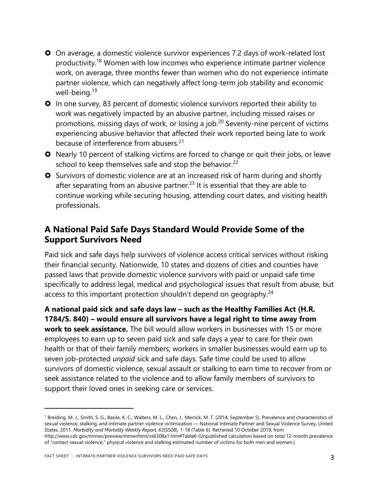On average, a domestic violence survivor experiences 7.2 days of work-related lost productivity.<sup>18</sup> Women with low incomes who experience intimate partner violence work, on average, three months fewer than women who do not experience intimate partner violence, which can negatively affect long-term job stability and economic well-being.<sup>19</sup>

 In one survey, 83 percent of domestic violence survivors reported their ability to work was negatively impacted by an abusive partner, including missed raises or promotions, missing days of work, or losing a job.<sup>20</sup> Seventy-nine percent of victims experiencing abusive behavior that affected their work reported being late to work because of interference from abusers.<sup>21</sup>

- **O** Nearly 10 percent of stalking victims are forced to change or quit their jobs, or leave school to keep themselves safe and stop the behavior.<sup>22</sup>
- **O** Survivors of domestic violence are at an increased risk of harm during and shortly after separating from an abusive partner.<sup>23</sup> It is essential that they are able to continue working while securing housing, attending court dates, and visiting health professionals.

# **A National Paid Safe Days Standard Would Provide Some of the Support Survivors Need**

Paid sick and safe days help survivors of violence access critical services without risking their financial security. Nationwide, 10 states and dozens of cities and counties have passed laws that provide domestic violence survivors with paid or unpaid safe time specifically to address legal, medical and psychological issues that result from abuse, but access to this important protection shouldn't depend on geography.<sup>24</sup>

**A national paid sick and safe days law – such as the Healthy Families Act (H.R. 1784/S. 840) – would ensure all survivors have a legal right to time away from work to seek assistance.** The bill would allow workers in businesses with 15 or more employees to earn up to seven paid sick and safe days a year to care for their own health or that of their family members; workers in smaller businesses would earn up to seven job-protected *unpaid* sick and safe days. Safe time could be used to allow survivors of domestic violence, sexual assault or stalking to earn time to recover from or seek assistance related to the violence and to allow family members of survivors to support their loved ones in seeking care or services.

 $\overline{a}$ 

<sup>1</sup> Breiding, M. J., Smith, S. G., Basile, K. C., Walters, M. L., Chen, J., Merrick, M. T. (2014, September 5). Prevalence and characteristics of sexual violence, stalking, and intimate partner violence victimization — National Intimate Partner and Sexual Violence Survey, United States, 2011. *Morbidity and Mortality Weekly Report, 63*(SS08), 1-18 (Table 6). Retrieved 10 October 2019, from <http://www.cdc.gov/mmwr/preview/mmwrhtml/ss6308a1.htm#Table6> (Unpublished calculation based on total 12-month prevalence of "contact sexual violence," physical violence and stalking estimated number of victims for both men and women.)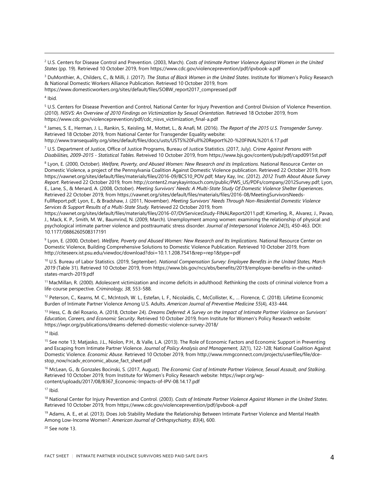<sup>2</sup> U.S. Centers for Disease Control and Prevention. (2003, March). *Costs of Intimate Partner Violence Against Women in the United States* (pp. 19). Retrieved 10 October 2019, from https://www.cdc.gov/violenceprevention/pdf/ipvbook-a.pdf

<sup>3</sup> DuMonthier, A., Childers, C., & Milli, J. (2017). *The Status of Black Women in the United States*. Institute for Women's Policy Research & National Domestic Workers Alliance Publication. Retrieved 10 October 2019, from https://www.domesticworkers.org/sites/default/files/SOBW\_report2017\_compressed.pdf

4 Ibid.

 $\overline{a}$ 

<sup>5</sup> U.S. Centers for Disease Prevention and Control, National Center for Injury Prevention and Control Division of Violence Prevention. (2010). *NISVS: An Overview of 2010 Findings on Victimization by Sexual Orientation*. Retrieved 18 October 2019, from https://www.cdc.gov/violenceprevention/pdf/cdc\_nisvs\_victimization\_final-a.pdf

6 James, S. E., Herman, J. L., Rankin, S., Keisling, M., Mottet, L., & Anafi, M. (2016). *The Report of the 2015 U.S. Transgender Survey*. Retrieved 18 October 2019, from National Center for Transgender Equality website: http://www.transequality.org/sites/default/files/docs/usts/USTS%20Full%20Report%20-%20FINAL%201.6.17.pdf

<sup>7</sup> U.S. Department of Justice, Office of Justice Programs, Bureau of Justice Statistics. (2017, July). *Crime Against Persons with Disabilities, 2009-2015 - Statistical Tables*. Retreived 10 October 2019, from https://www.bjs.gov/content/pub/pdf/capd0915st.pdf

<sup>8</sup> Lyon, E. (2000, October). *Welfare, Poverty, and Abused Women: New Research and its Implications*. National Resource Center on Domestic Violence, a project of the Pennsylvania Coalition Against Domestic Violence publication. Retrieved 22 October 2019, from https://vawnet.org/sites/default/files/materials/files/2016-09/BCS10\_POV.pdf; Mary Kay, Inc. (2012). *2012 Truth About Abuse Survey Report*. Retrieved 22 October 2019, from http://content2.marykayintouch.com/public/PWS\_US/PDFs/company/2012Survey.pdf; Lyon, E., Lane, S., & Menard, A. (2008, October). *Meeting Survivors' Needs: A Multi‐State Study Of Domestic Violence Shelter Experiences*. Retrieved 22 October 2019, from https://vawnet.org/sites/default/files/materials/files/2016-08/MeetingSurvivorsNeeds-FullReport.pdf; Lyon, E., & Bradshaw, J. (2011, November). *Meeting Survivors' Needs Through Non-Residential Domestic Violence Services & Support Results of a Multi-State Study.* Retrieved 22 October 2019, from

https://vawnet.org/sites/default/files/materials/files/2016-07/DVServicesStudy-FINALReport2011.pdf; Kimerling, R., Alvarez, J., Pavao, J., Mack, K. P., Smith, M. W., Baumrind, N. (2009, March). Unemployment among women: examining the relationship of physical and psychological intimate partner violence and posttraumatic stress disorder. *Journal of Interpersonal Violence 24*(3), 450-463. DOI: 10.1177/0886260508317191

9 Lyon, E. (2000, October). *Welfare, Poverty and Abused Women: New Research and Its Implications*. National Resource Center on Domestic Violence, Building Comprehensive Solutions to Domestic Violence Publication. Retrieved 10 October 2019, from http://citeseerx.ist.psu.edu/viewdoc/download?doi=10.1.1.208.7541&rep=rep1&type=pdf

<sup>10</sup> U.S. Bureau of Labor Statistics. (2019, September). *National Compensation Survey: Employee Benefits in the United States, March 2019* (Table 31). Retrieved 10 October 2019, from https://www.bls.gov/ncs/ebs/benefits/2019/employee-benefits-in-the-unitedstates-march-2019.pdf

<sup>11</sup> MacMillan, R. (2000). Adolescent victimization and income deficits in adulthood: Rethinking the costs of criminal violence from a life-course perspective. *Criminology, 38*, 553-588.

<sup>12</sup> Peterson, C., Kearns, M. C., McIntosh, W. L., Estefan, L. F., Nicolaidis, C., McCollister, K., … Florence, C. (2018). Lifetime Economic Burden of Intimate Partner Violence Among U.S. Adults. *American Journal of Preventive Medicine 55*(4), 433-444.

<sup>13</sup> Hess, C. & del Rosario, A. (2018, October 24). *Dreams Deferred: A Survey on the Impact of Intimate Partner Violence on Survivors' Education, Careers, and Economic Security*. Retrieved 10 October 2019, from Institute for Women's Policy Research website: https://iwpr.org/publications/dreams-deferred-domestic-violence-survey-2018/

 $14$  Ibid.

<sup>15</sup> See note 13; Matjasko, J.L., Niolon, P.H., & Valle, L.A. (2013). The Role of Economic Factors and Economic Support in Preventing and Escaping from Intimate Partner Violence. *Journal of Policy Analysis and Management, 32*(1), 122-128; National Coalition Against Domestic Violence. *Economic Abuse*. Retrieved 10 October 2019, from http://www.mmgconnect.com/projects/userfiles/file/dcestop\_now/ncadv\_economic\_abuse\_fact\_sheet.pdf

<sup>16</sup> McLean, G., & Gonzales Bocinski, S. (2017, August). *The Economic Cost of Intimate Partner Violence, Sexual Assault, and Stalking*. Retrieved 10 October 2019, from Institute for Women's Policy Research website: https://iwpr.org/wpcontent/uploads/2017/08/B367\_Economic-Impacts-of-IPV-08.14.17.pdf

 $17$  Ibid.

<sup>18</sup> National Center for Injury Prevention and Control. (2003). *Costs of Intimate Partner Violence Against Women in the United States*. Retrieved 10 October 2019, from https://www.cdc.gov/violenceprevention/pdf/ipvbook-a.pdf

<sup>19</sup> Adams, A. E., et al. (2013). Does Job Stability Mediate the Relationship Between Intimate Partner Violence and Mental Health Among Low-Income Women?. *American Journal of Orthopsychiatry, 83*(4), 600.

<sup>20</sup> See note 13.